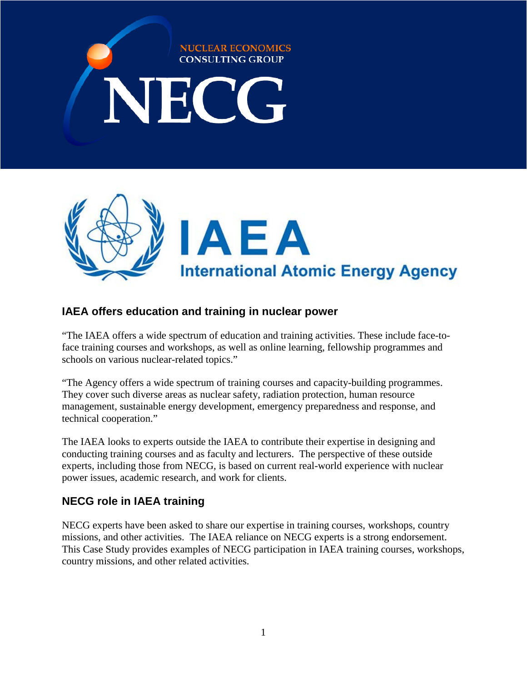# **NUCLEAR ECONOMICS CONSULTING GROUP** NECG



# **IAEA offers education and training in nuclear power**

"The IAEA offers a wide spectrum of education and training activities. These include face-toface training courses and workshops, as well as online learning, fellowship programmes and schools on various nuclear-related topics."

"The Agency offers a wide spectrum of training courses and capacity-building programmes. They cover such diverse areas as nuclear safety, radiation protection, human resource management, sustainable energy development, emergency preparedness and response, and technical cooperation."

The IAEA looks to experts outside the IAEA to contribute their expertise in designing and conducting training courses and as faculty and lecturers. The perspective of these outside experts, including those from NECG, is based on current real-world experience with nuclear power issues, academic research, and work for clients.

# **NECG role in IAEA training**

NECG experts have been asked to share our expertise in training courses, workshops, country missions, and other activities. The IAEA reliance on NECG experts is a strong endorsement. This Case Study provides examples of NECG participation in IAEA training courses, workshops, country missions, and other related activities.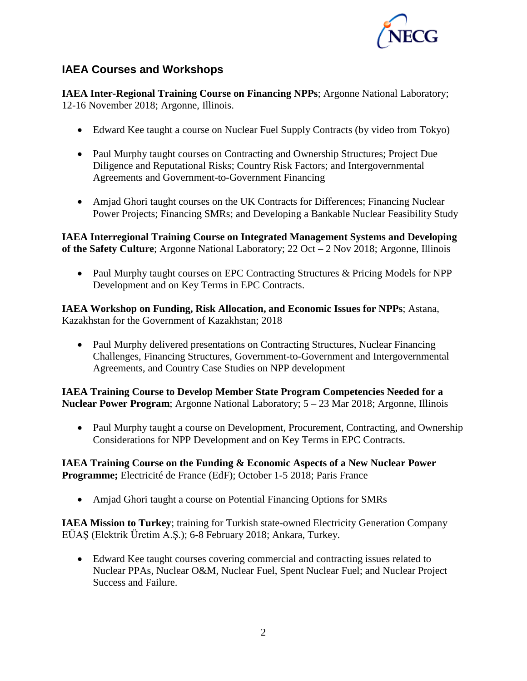

## **IAEA Courses and Workshops**

**IAEA Inter-Regional Training Course on Financing NPPs**; Argonne National Laboratory; 12-16 November 2018; Argonne, Illinois.

- Edward Kee taught a course on Nuclear Fuel Supply Contracts (by video from Tokyo)
- Paul Murphy taught courses on Contracting and Ownership Structures; Project Due Diligence and Reputational Risks; Country Risk Factors; and Intergovernmental Agreements and Government-to-Government Financing
- Amjad Ghori taught courses on the UK Contracts for Differences; Financing Nuclear Power Projects; Financing SMRs; and Developing a Bankable Nuclear Feasibility Study

**IAEA Interregional Training Course on Integrated Management Systems and Developing of the Safety Culture**; Argonne National Laboratory; 22 Oct – 2 Nov 2018; Argonne, Illinois

• Paul Murphy taught courses on EPC Contracting Structures & Pricing Models for NPP Development and on Key Terms in EPC Contracts.

**IAEA Workshop on Funding, Risk Allocation, and Economic Issues for NPPs**; Astana, Kazakhstan for the Government of Kazakhstan; 2018

• Paul Murphy delivered presentations on Contracting Structures, Nuclear Financing Challenges, Financing Structures, Government-to-Government and Intergovernmental Agreements, and Country Case Studies on NPP development

**IAEA Training Course to Develop Member State Program Competencies Needed for a Nuclear Power Program**; Argonne National Laboratory; 5 – 23 Mar 2018; Argonne, Illinois

• Paul Murphy taught a course on Development, Procurement, Contracting, and Ownership Considerations for NPP Development and on Key Terms in EPC Contracts.

**IAEA Training Course on the Funding & Economic Aspects of a New Nuclear Power Programme;** Electricité de France (EdF); October 1-5 2018; Paris France

• Amjad Ghori taught a course on Potential Financing Options for SMRs

**IAEA Mission to Turkey**; training for Turkish state-owned Electricity Generation Company EÜAŞ (Elektrik Üretim A.Ş.); 6-8 February 2018; Ankara, Turkey.

• Edward Kee taught courses covering commercial and contracting issues related to Nuclear PPAs, Nuclear O&M, Nuclear Fuel, Spent Nuclear Fuel; and Nuclear Project Success and Failure.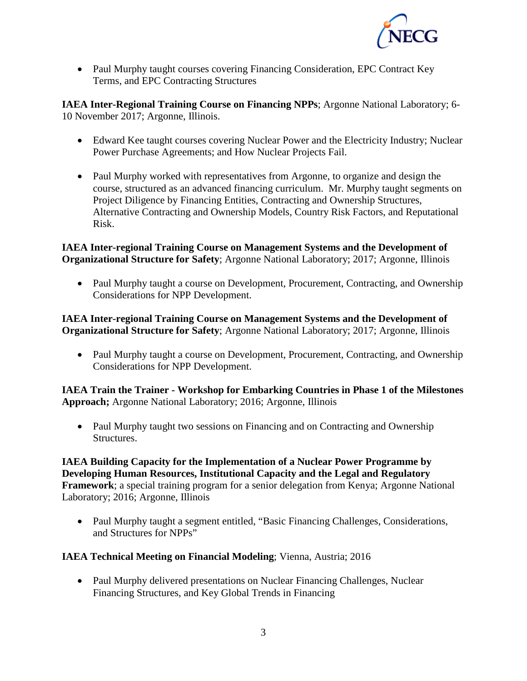

• Paul Murphy taught courses covering Financing Consideration, EPC Contract Key Terms, and EPC Contracting Structures

**IAEA Inter-Regional Training Course on Financing NPPs**; Argonne National Laboratory; 6- 10 November 2017; Argonne, Illinois.

- Edward Kee taught courses covering Nuclear Power and the Electricity Industry; Nuclear Power Purchase Agreements; and How Nuclear Projects Fail.
- Paul Murphy worked with representatives from Argonne, to organize and design the course, structured as an advanced financing curriculum. Mr. Murphy taught segments on Project Diligence by Financing Entities, Contracting and Ownership Structures, Alternative Contracting and Ownership Models, Country Risk Factors, and Reputational Risk.

#### **IAEA Inter-regional Training Course on Management Systems and the Development of Organizational Structure for Safety**; Argonne National Laboratory; 2017; Argonne, Illinois

• Paul Murphy taught a course on Development, Procurement, Contracting, and Ownership Considerations for NPP Development.

#### **IAEA Inter-regional Training Course on Management Systems and the Development of Organizational Structure for Safety**; Argonne National Laboratory; 2017; Argonne, Illinois

• Paul Murphy taught a course on Development, Procurement, Contracting, and Ownership Considerations for NPP Development.

**IAEA Train the Trainer - Workshop for Embarking Countries in Phase 1 of the Milestones Approach;** Argonne National Laboratory; 2016; Argonne, Illinois

• Paul Murphy taught two sessions on Financing and on Contracting and Ownership Structures.

**IAEA Building Capacity for the Implementation of a Nuclear Power Programme by Developing Human Resources, Institutional Capacity and the Legal and Regulatory Framework**; a special training program for a senior delegation from Kenya; Argonne National Laboratory; 2016; Argonne, Illinois

• Paul Murphy taught a segment entitled, "Basic Financing Challenges, Considerations, and Structures for NPPs"

#### **IAEA Technical Meeting on Financial Modeling**; Vienna, Austria; 2016

• Paul Murphy delivered presentations on Nuclear Financing Challenges, Nuclear Financing Structures, and Key Global Trends in Financing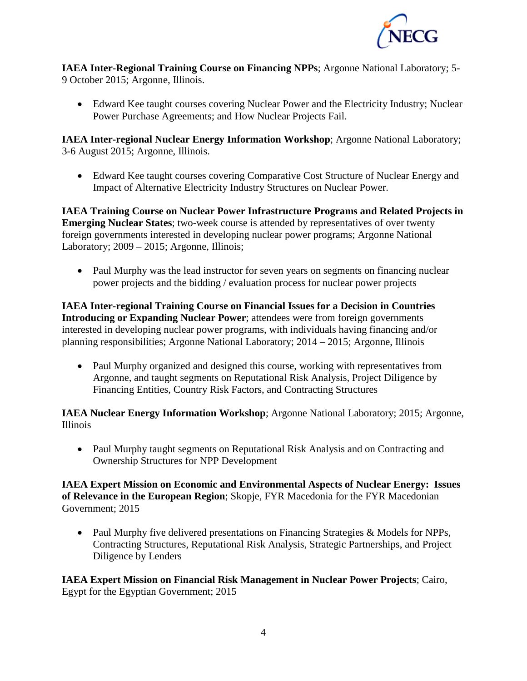

**IAEA Inter-Regional Training Course on Financing NPPs**; Argonne National Laboratory; 5- 9 October 2015; Argonne, Illinois.

• Edward Kee taught courses covering Nuclear Power and the Electricity Industry; Nuclear Power Purchase Agreements; and How Nuclear Projects Fail.

**IAEA Inter-regional Nuclear Energy Information Workshop**; Argonne National Laboratory; 3-6 August 2015; Argonne, Illinois.

• Edward Kee taught courses covering Comparative Cost Structure of Nuclear Energy and Impact of Alternative Electricity Industry Structures on Nuclear Power.

**IAEA Training Course on Nuclear Power Infrastructure Programs and Related Projects in Emerging Nuclear States**; two-week course is attended by representatives of over twenty foreign governments interested in developing nuclear power programs; Argonne National Laboratory; 2009 – 2015; Argonne, Illinois;

• Paul Murphy was the lead instructor for seven years on segments on financing nuclear power projects and the bidding / evaluation process for nuclear power projects

**IAEA Inter-regional Training Course on Financial Issues for a Decision in Countries Introducing or Expanding Nuclear Power**; attendees were from foreign governments interested in developing nuclear power programs, with individuals having financing and/or planning responsibilities; Argonne National Laboratory; 2014 – 2015; Argonne, Illinois

• Paul Murphy organized and designed this course, working with representatives from Argonne, and taught segments on Reputational Risk Analysis, Project Diligence by Financing Entities, Country Risk Factors, and Contracting Structures

**IAEA Nuclear Energy Information Workshop**; Argonne National Laboratory; 2015; Argonne, Illinois

• Paul Murphy taught segments on Reputational Risk Analysis and on Contracting and Ownership Structures for NPP Development

**IAEA Expert Mission on Economic and Environmental Aspects of Nuclear Energy: Issues of Relevance in the European Region**; Skopje, FYR Macedonia for the FYR Macedonian Government; 2015

• Paul Murphy five delivered presentations on Financing Strategies & Models for NPPs, Contracting Structures, Reputational Risk Analysis, Strategic Partnerships, and Project Diligence by Lenders

**IAEA Expert Mission on Financial Risk Management in Nuclear Power Projects**; Cairo, Egypt for the Egyptian Government; 2015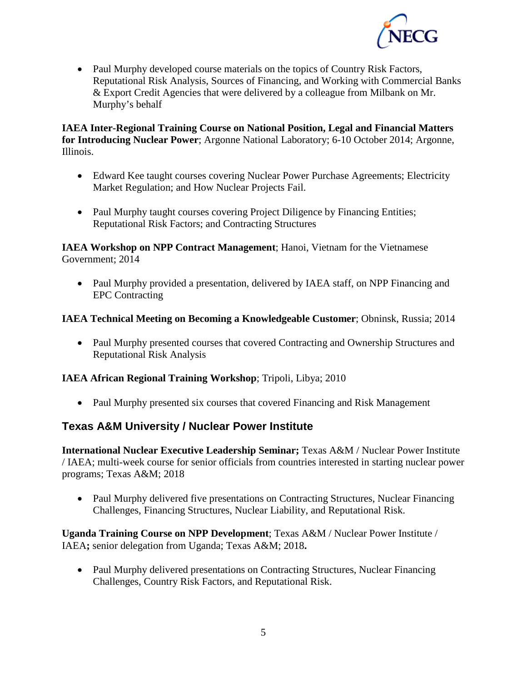

• Paul Murphy developed course materials on the topics of Country Risk Factors, Reputational Risk Analysis, Sources of Financing, and Working with Commercial Banks & Export Credit Agencies that were delivered by a colleague from Milbank on Mr. Murphy's behalf

**IAEA Inter-Regional Training Course on National Position, Legal and Financial Matters for Introducing Nuclear Power**; Argonne National Laboratory; 6-10 October 2014; Argonne, Illinois.

- Edward Kee taught courses covering Nuclear Power Purchase Agreements; Electricity Market Regulation; and How Nuclear Projects Fail.
- Paul Murphy taught courses covering Project Diligence by Financing Entities; Reputational Risk Factors; and Contracting Structures

**IAEA Workshop on NPP Contract Management**; Hanoi, Vietnam for the Vietnamese Government; 2014

• Paul Murphy provided a presentation, delivered by IAEA staff, on NPP Financing and EPC Contracting

#### **IAEA Technical Meeting on Becoming a Knowledgeable Customer**; Obninsk, Russia; 2014

• Paul Murphy presented courses that covered Contracting and Ownership Structures and Reputational Risk Analysis

#### **IAEA African Regional Training Workshop**; Tripoli, Libya; 2010

• Paul Murphy presented six courses that covered Financing and Risk Management

## **Texas A&M University / Nuclear Power Institute**

**International Nuclear Executive Leadership Seminar;** Texas A&M / Nuclear Power Institute / IAEA; multi-week course for senior officials from countries interested in starting nuclear power programs; Texas A&M; 2018

• Paul Murphy delivered five presentations on Contracting Structures, Nuclear Financing Challenges, Financing Structures, Nuclear Liability, and Reputational Risk.

**Uganda Training Course on NPP Development**; Texas A&M / Nuclear Power Institute / IAEA**;** senior delegation from Uganda; Texas A&M; 2018**.** 

• Paul Murphy delivered presentations on Contracting Structures, Nuclear Financing Challenges, Country Risk Factors, and Reputational Risk.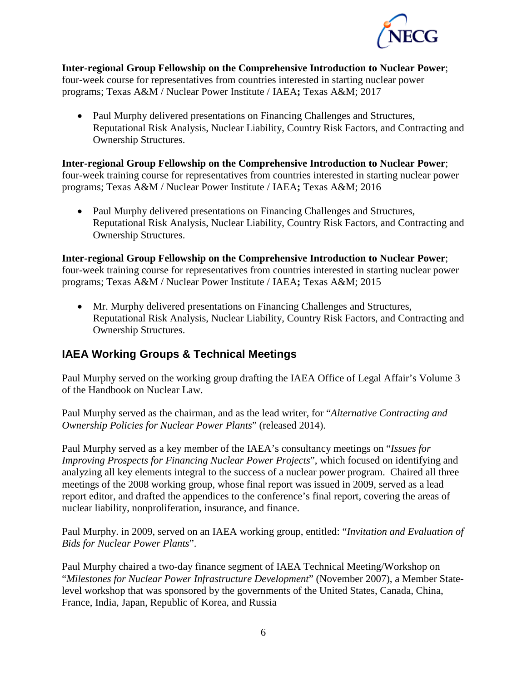

**Inter-regional Group Fellowship on the Comprehensive Introduction to Nuclear Power**; four-week course for representatives from countries interested in starting nuclear power programs; Texas A&M / Nuclear Power Institute / IAEA**;** Texas A&M; 2017

• Paul Murphy delivered presentations on Financing Challenges and Structures, Reputational Risk Analysis, Nuclear Liability, Country Risk Factors, and Contracting and Ownership Structures.

**Inter-regional Group Fellowship on the Comprehensive Introduction to Nuclear Power**; four-week training course for representatives from countries interested in starting nuclear power programs; Texas A&M / Nuclear Power Institute / IAEA**;** Texas A&M; 2016

• Paul Murphy delivered presentations on Financing Challenges and Structures, Reputational Risk Analysis, Nuclear Liability, Country Risk Factors, and Contracting and Ownership Structures.

**Inter-regional Group Fellowship on the Comprehensive Introduction to Nuclear Power**; four-week training course for representatives from countries interested in starting nuclear power programs; Texas A&M / Nuclear Power Institute / IAEA**;** Texas A&M; 2015

• Mr. Murphy delivered presentations on Financing Challenges and Structures, Reputational Risk Analysis, Nuclear Liability, Country Risk Factors, and Contracting and Ownership Structures.

# **IAEA Working Groups & Technical Meetings**

Paul Murphy served on the working group drafting the IAEA Office of Legal Affair's Volume 3 of the Handbook on Nuclear Law.

Paul Murphy served as the chairman, and as the lead writer, for "*Alternative Contracting and Ownership Policies for Nuclear Power Plants*" (released 2014).

Paul Murphy served as a key member of the IAEA's consultancy meetings on "*Issues for Improving Prospects for Financing Nuclear Power Projects*", which focused on identifying and analyzing all key elements integral to the success of a nuclear power program. Chaired all three meetings of the 2008 working group, whose final report was issued in 2009, served as a lead report editor, and drafted the appendices to the conference's final report, covering the areas of nuclear liability, nonproliferation, insurance, and finance.

Paul Murphy. in 2009, served on an IAEA working group, entitled: "*Invitation and Evaluation of Bids for Nuclear Power Plants*".

Paul Murphy chaired a two-day finance segment of IAEA Technical Meeting/Workshop on "*Milestones for Nuclear Power Infrastructure Development*" (November 2007), a Member Statelevel workshop that was sponsored by the governments of the United States, Canada, China, France, India, Japan, Republic of Korea, and Russia